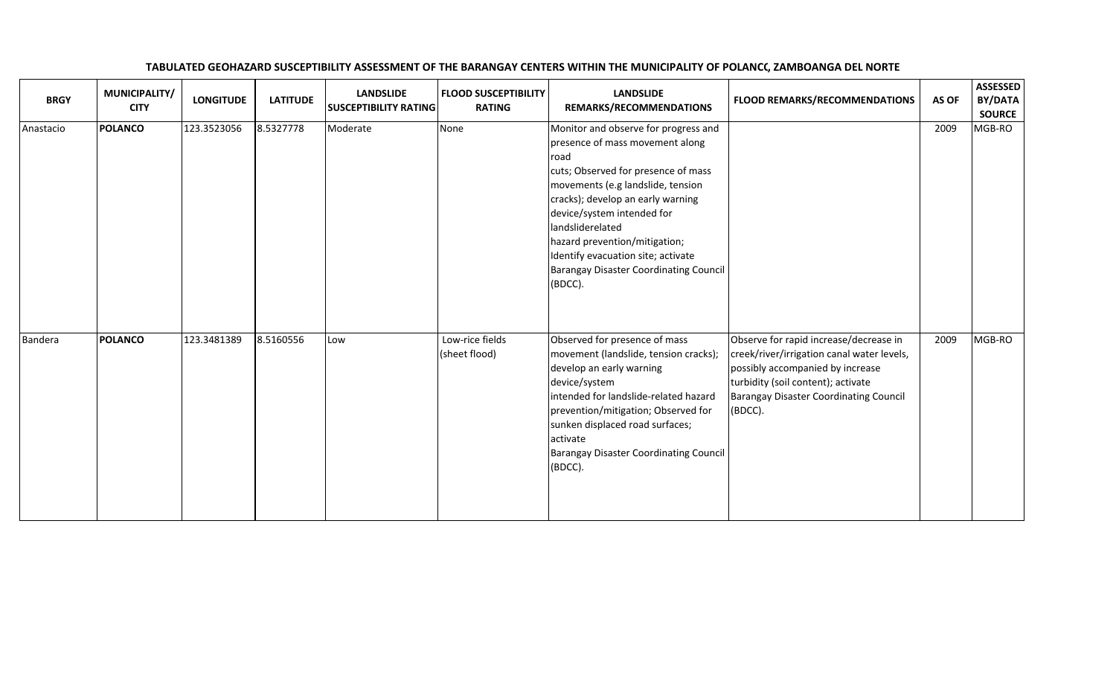| <b>BRGY</b> | MUNICIPALITY/<br><b>CITY</b> | <b>LONGITUDE</b> | <b>LATITUDE</b> | <b>LANDSLIDE</b><br><b>SUSCEPTIBILITY RATING</b> | <b>FLOOD SUSCEPTIBILITY</b><br><b>RATING</b> | <b>LANDSLIDE</b><br>REMARKS/RECOMMENDATIONS                                                                                                                                                                                                                                                                                                                                           | <b>FLOOD REMARKS/RECOMMENDATIONS</b>                                                                                                                                                                                | AS OF | <b>ASSESSED</b><br><b>BY/DATA</b><br><b>SOURCE</b> |
|-------------|------------------------------|------------------|-----------------|--------------------------------------------------|----------------------------------------------|---------------------------------------------------------------------------------------------------------------------------------------------------------------------------------------------------------------------------------------------------------------------------------------------------------------------------------------------------------------------------------------|---------------------------------------------------------------------------------------------------------------------------------------------------------------------------------------------------------------------|-------|----------------------------------------------------|
| Anastacio   | <b>POLANCO</b>               | 123.3523056      | 8.5327778       | Moderate                                         | None                                         | Monitor and observe for progress and<br>presence of mass movement along<br>road<br>cuts; Observed for presence of mass<br>movements (e.g landslide, tension<br>cracks); develop an early warning<br>device/system intended for<br>landsliderelated<br>hazard prevention/mitigation;<br>Identify evacuation site; activate<br><b>Barangay Disaster Coordinating Council</b><br>(BDCC). |                                                                                                                                                                                                                     | 2009  | MGB-RO                                             |
| Bandera     | <b>POLANCO</b>               | 123.3481389      | 8.5160556       | Low                                              | Low-rice fields<br>(sheet flood)             | Observed for presence of mass<br>movement (landslide, tension cracks);<br>develop an early warning<br>device/system<br>intended for landslide-related hazard<br>prevention/mitigation; Observed for<br>sunken displaced road surfaces;<br>activate<br><b>Barangay Disaster Coordinating Council</b><br>(BDCC).                                                                        | Observe for rapid increase/decrease in<br>creek/river/irrigation canal water levels,<br>possibly accompanied by increase<br>turbidity (soil content); activate<br>Barangay Disaster Coordinating Council<br>(BDCC). | 2009  | MGB-RO                                             |

## TABULATED GEOHAZARD SUSCEPTIBILITY ASSESSMENT OF THE BARANGAY CENTERS WITHIN THE MUNICIPALITY OF POLANCC, ZAMBOANGA DEL NORTE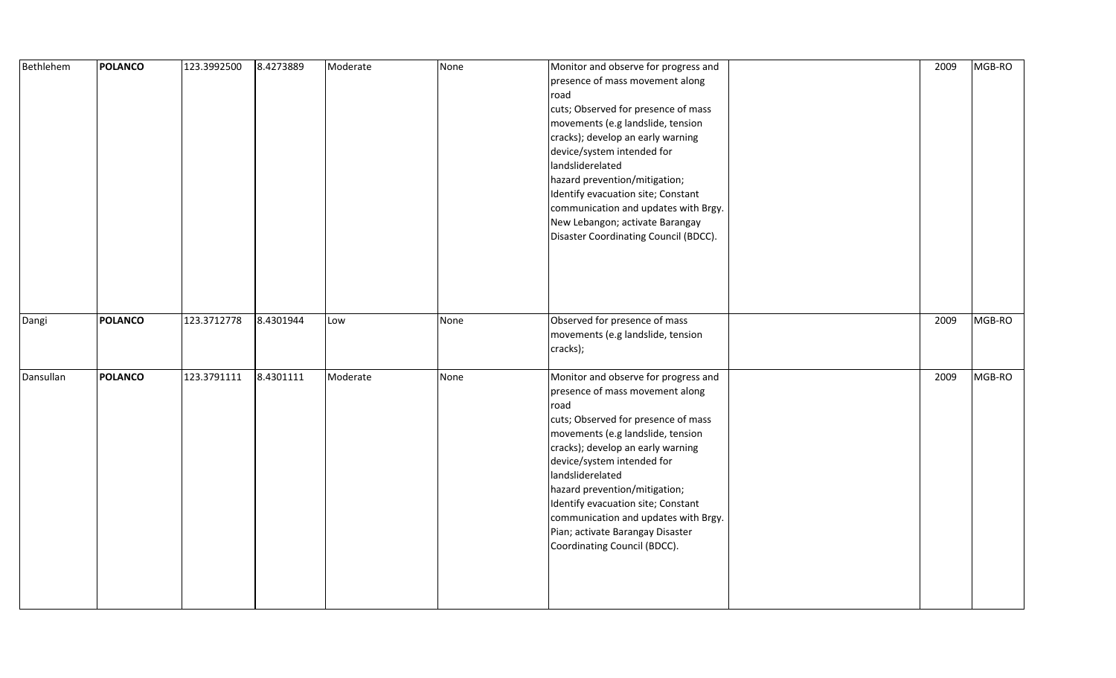| Bethlehem | POLANCO        | 123.3992500 | 8.4273889 | Moderate | None | Monitor and observe for progress and<br>presence of mass movement along<br>road<br>cuts; Observed for presence of mass<br>movements (e.g landslide, tension<br>cracks); develop an early warning<br>device/system intended for<br>landsliderelated<br>hazard prevention/mitigation;<br>Identify evacuation site; Constant<br>communication and updates with Brgy.<br>New Lebangon; activate Barangay<br>Disaster Coordinating Council (BDCC). | 2009 | MGB-RO |
|-----------|----------------|-------------|-----------|----------|------|-----------------------------------------------------------------------------------------------------------------------------------------------------------------------------------------------------------------------------------------------------------------------------------------------------------------------------------------------------------------------------------------------------------------------------------------------|------|--------|
| Dangi     | <b>POLANCO</b> | 123.3712778 | 8.4301944 | Low      | None | Observed for presence of mass<br>movements (e.g landslide, tension<br>cracks);                                                                                                                                                                                                                                                                                                                                                                | 2009 | MGB-RO |
| Dansullan | POLANCO        | 123.3791111 | 8.4301111 | Moderate | None | Monitor and observe for progress and<br>presence of mass movement along<br>road<br>cuts; Observed for presence of mass<br>movements (e.g landslide, tension<br>cracks); develop an early warning<br>device/system intended for<br>landsliderelated<br>hazard prevention/mitigation;<br>Identify evacuation site; Constant<br>communication and updates with Brgy.<br>Pian; activate Barangay Disaster<br>Coordinating Council (BDCC).         | 2009 | MGB-RO |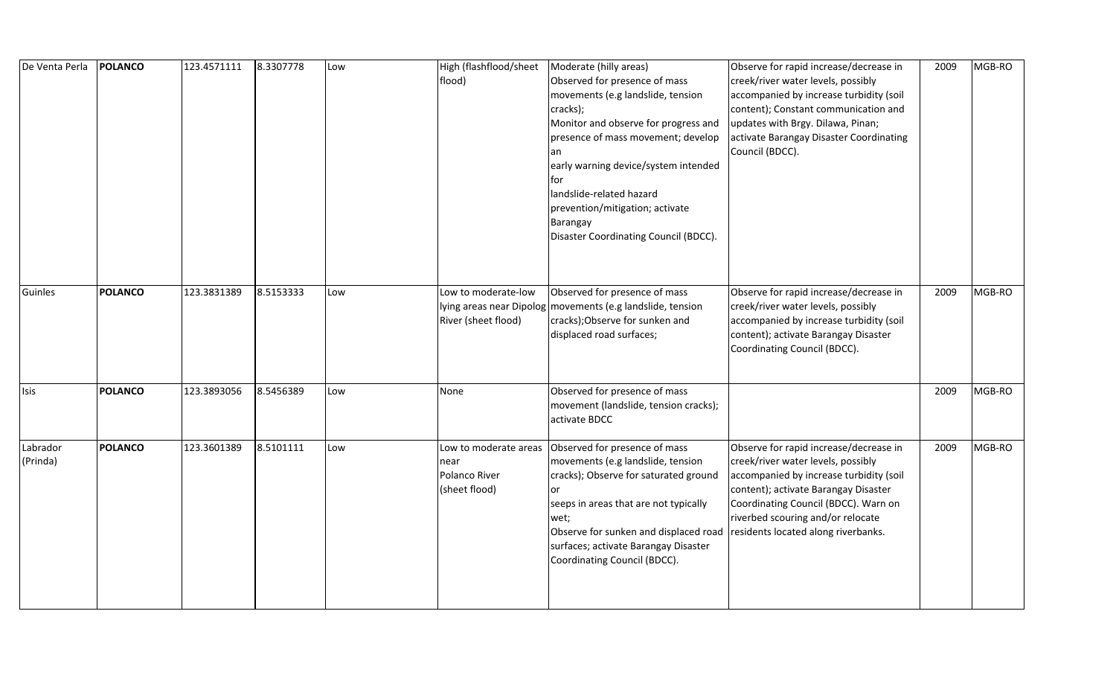| De Venta Perla       | <b>POLANCO</b> | 123.4571111 | 8.3307778 | Low | High (flashflood/sheet<br>flood)                                | Moderate (hilly areas)<br>Observed for presence of mass<br>movements (e.g landslide, tension<br>cracks);<br>Monitor and observe for progress and<br>presence of mass movement; develop<br>an<br>early warning device/system intended<br>for<br>landslide-related hazard<br>prevention/mitigation; activate<br>Barangay<br>Disaster Coordinating Council (BDCC). | Observe for rapid increase/decrease in<br>creek/river water levels, possibly<br>accompanied by increase turbidity (soil<br>content); Constant communication and<br>updates with Brgy. Dilawa, Pinan;<br>activate Barangay Disaster Coordinating<br>Council (BDCC).                  | 2009 | MGB-RO |
|----------------------|----------------|-------------|-----------|-----|-----------------------------------------------------------------|-----------------------------------------------------------------------------------------------------------------------------------------------------------------------------------------------------------------------------------------------------------------------------------------------------------------------------------------------------------------|-------------------------------------------------------------------------------------------------------------------------------------------------------------------------------------------------------------------------------------------------------------------------------------|------|--------|
| Guinles              | <b>POLANCO</b> | 123.3831389 | 8.5153333 | Low | Low to moderate-low<br>River (sheet flood)                      | Observed for presence of mass<br>lying areas near Dipolog   movements (e.g landslide, tension<br>cracks); Observe for sunken and<br>displaced road surfaces;                                                                                                                                                                                                    | Observe for rapid increase/decrease in<br>creek/river water levels, possibly<br>accompanied by increase turbidity (soil<br>content); activate Barangay Disaster<br>Coordinating Council (BDCC).                                                                                     | 2009 | MGB-RO |
| Isis                 | <b>POLANCO</b> | 123.3893056 | 8.5456389 | Low | None                                                            | Observed for presence of mass<br>movement (landslide, tension cracks);<br>activate BDCC                                                                                                                                                                                                                                                                         |                                                                                                                                                                                                                                                                                     | 2009 | MGB-RO |
| Labrador<br>(Prinda) | <b>POLANCO</b> | 123.3601389 | 8.5101111 | Low | Low to moderate areas<br>near<br>Polanco River<br>(sheet flood) | Observed for presence of mass<br>movements (e.g landslide, tension<br>cracks); Observe for saturated ground<br>or<br>seeps in areas that are not typically<br>wet;<br>Observe for sunken and displaced road<br>surfaces; activate Barangay Disaster<br>Coordinating Council (BDCC).                                                                             | Observe for rapid increase/decrease in<br>creek/river water levels, possibly<br>accompanied by increase turbidity (soil<br>content); activate Barangay Disaster<br>Coordinating Council (BDCC). Warn on<br>riverbed scouring and/or relocate<br>residents located along riverbanks. | 2009 | MGB-RO |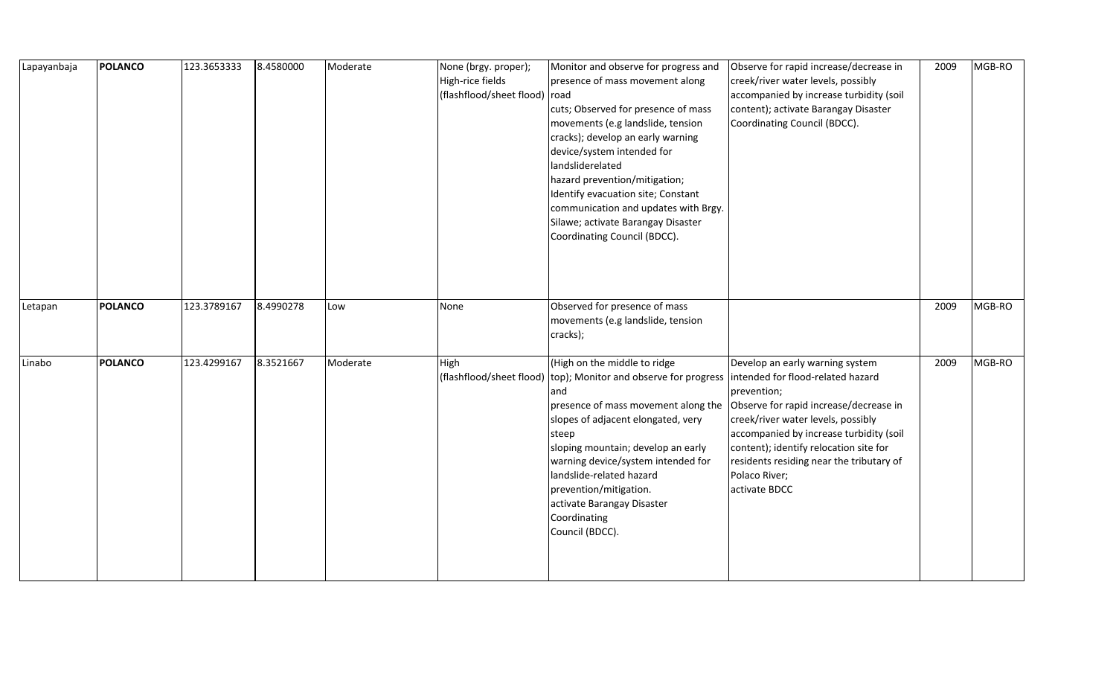| Lapayanbaja | POLANCO        | 123.3653333 | 8.4580000 | Moderate | None (brgy. proper);<br>High-rice fields<br>(flashflood/sheet flood) | Monitor and observe for progress and<br>presence of mass movement along<br>road<br>cuts; Observed for presence of mass<br>movements (e.g landslide, tension<br>cracks); develop an early warning<br>device/system intended for<br>landsliderelated<br>hazard prevention/mitigation;<br>Identify evacuation site; Constant<br>communication and updates with Brgy.<br>Silawe; activate Barangay Disaster<br>Coordinating Council (BDCC). | Observe for rapid increase/decrease in<br>creek/river water levels, possibly<br>accompanied by increase turbidity (soil<br>content); activate Barangay Disaster<br>Coordinating Council (BDCC).                                                                                                                                        | 2009 | MGB-RO |
|-------------|----------------|-------------|-----------|----------|----------------------------------------------------------------------|-----------------------------------------------------------------------------------------------------------------------------------------------------------------------------------------------------------------------------------------------------------------------------------------------------------------------------------------------------------------------------------------------------------------------------------------|----------------------------------------------------------------------------------------------------------------------------------------------------------------------------------------------------------------------------------------------------------------------------------------------------------------------------------------|------|--------|
| Letapan     | <b>POLANCO</b> | 123.3789167 | 8.4990278 | Low      | None                                                                 | Observed for presence of mass<br>movements (e.g landslide, tension<br>cracks);                                                                                                                                                                                                                                                                                                                                                          |                                                                                                                                                                                                                                                                                                                                        | 2009 | MGB-RO |
| Linabo      | POLANCO        | 123.4299167 | 8.3521667 | Moderate | High                                                                 | (High on the middle to ridge<br>(flashflood/sheet flood) (top); Monitor and observe for progress<br>and<br>presence of mass movement along the<br>slopes of adjacent elongated, very<br>steep<br>sloping mountain; develop an early<br>warning device/system intended for<br>landslide-related hazard<br>prevention/mitigation.<br>activate Barangay Disaster<br>Coordinating<br>Council (BDCC).                                        | Develop an early warning system<br>intended for flood-related hazard<br>prevention;<br>Observe for rapid increase/decrease in<br>creek/river water levels, possibly<br>accompanied by increase turbidity (soil<br>content); identify relocation site for<br>residents residing near the tributary of<br>Polaco River;<br>activate BDCC | 2009 | MGB-RO |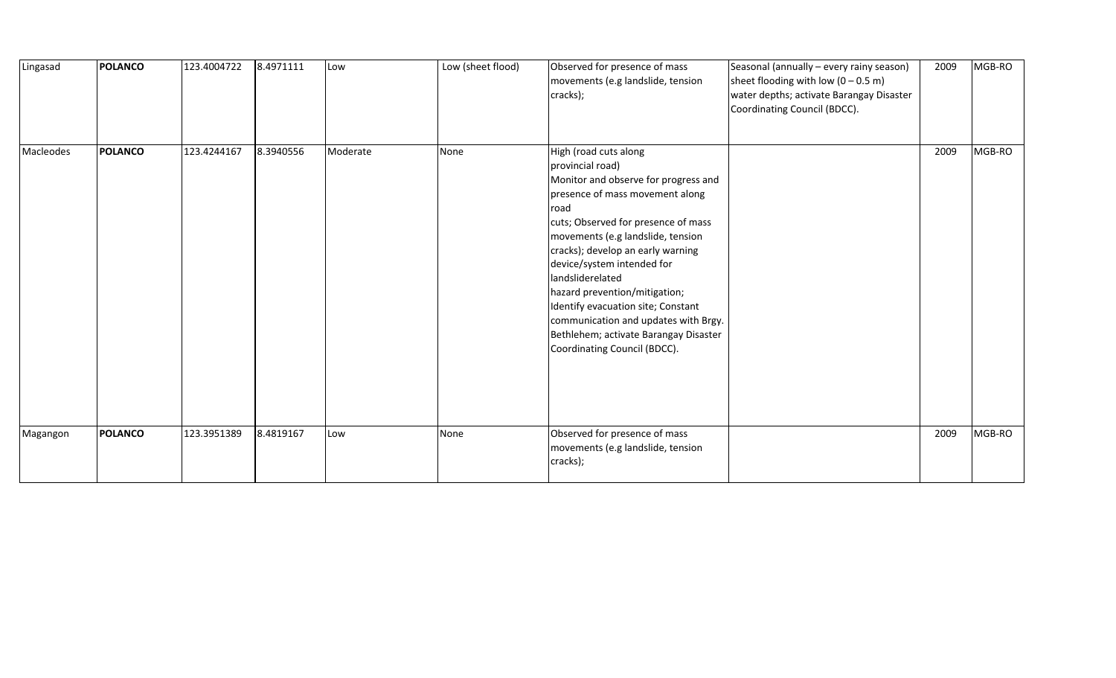| Lingasad  | POLANCO        | 123.4004722 | 8.4971111 | Low      | Low (sheet flood) | Observed for presence of mass<br>movements (e.g landslide, tension<br>cracks);                                                                                                                                                                                                                                                                                                                                                                                                          | Seasonal (annually - every rainy season)<br>sheet flooding with low $(0 - 0.5 \text{ m})$<br>water depths; activate Barangay Disaster<br>Coordinating Council (BDCC). | 2009 | MGB-RO |
|-----------|----------------|-------------|-----------|----------|-------------------|-----------------------------------------------------------------------------------------------------------------------------------------------------------------------------------------------------------------------------------------------------------------------------------------------------------------------------------------------------------------------------------------------------------------------------------------------------------------------------------------|-----------------------------------------------------------------------------------------------------------------------------------------------------------------------|------|--------|
| Macleodes | POLANCO        | 123.4244167 | 8.3940556 | Moderate | None              | High (road cuts along<br>provincial road)<br>Monitor and observe for progress and<br>presence of mass movement along<br>road<br>cuts; Observed for presence of mass<br>movements (e.g landslide, tension<br>cracks); develop an early warning<br>device/system intended for<br>landsliderelated<br>hazard prevention/mitigation;<br>Identify evacuation site; Constant<br>communication and updates with Brgy.<br>Bethlehem; activate Barangay Disaster<br>Coordinating Council (BDCC). |                                                                                                                                                                       | 2009 | MGB-RO |
| Magangon  | <b>POLANCO</b> | 123.3951389 | 8.4819167 | Low      | None              | Observed for presence of mass<br>movements (e.g landslide, tension<br>cracks);                                                                                                                                                                                                                                                                                                                                                                                                          |                                                                                                                                                                       | 2009 | MGB-RO |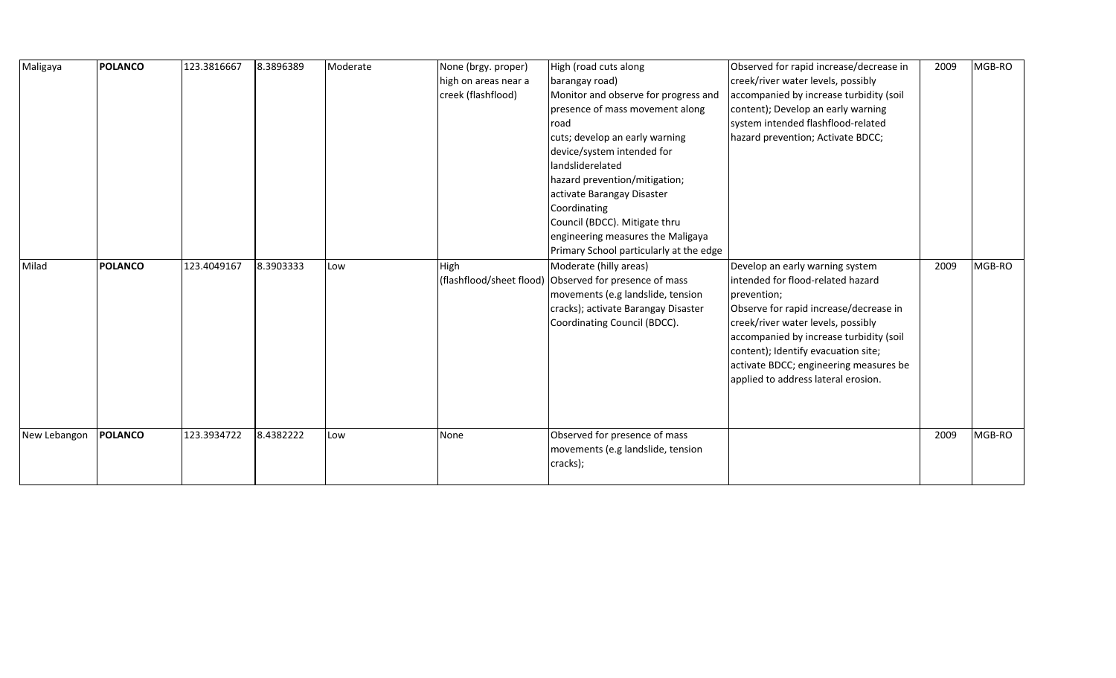| Maligaya     | <b>POLANCO</b> | 123.3816667 | 8.3896389 | Moderate | None (brgy. proper)<br>high on areas near a<br>creek (flashflood) | High (road cuts along<br>barangay road)<br>Monitor and observe for progress and<br>presence of mass movement along<br>road<br>cuts; develop an early warning<br>device/system intended for<br>landsliderelated<br>hazard prevention/mitigation;<br>activate Barangay Disaster<br>Coordinating<br>Council (BDCC). Mitigate thru<br>engineering measures the Maligaya<br>Primary School particularly at the edge | Observed for rapid increase/decrease in<br>creek/river water levels, possibly<br>accompanied by increase turbidity (soil<br>content); Develop an early warning<br>system intended flashflood-related<br>hazard prevention; Activate BDCC;                                                                                              | 2009 | MGB-RO |
|--------------|----------------|-------------|-----------|----------|-------------------------------------------------------------------|----------------------------------------------------------------------------------------------------------------------------------------------------------------------------------------------------------------------------------------------------------------------------------------------------------------------------------------------------------------------------------------------------------------|----------------------------------------------------------------------------------------------------------------------------------------------------------------------------------------------------------------------------------------------------------------------------------------------------------------------------------------|------|--------|
| Milad        | <b>POLANCO</b> | 123.4049167 | 8.3903333 | Low      | High                                                              | Moderate (hilly areas)<br>(flashflood/sheet flood) Observed for presence of mass<br>movements (e.g landslide, tension<br>cracks); activate Barangay Disaster<br>Coordinating Council (BDCC).                                                                                                                                                                                                                   | Develop an early warning system<br>intended for flood-related hazard<br>prevention;<br>Observe for rapid increase/decrease in<br>creek/river water levels, possibly<br>accompanied by increase turbidity (soil<br>content); Identify evacuation site;<br>activate BDCC; engineering measures be<br>applied to address lateral erosion. | 2009 | MGB-RO |
| New Lebangon | <b>POLANCO</b> | 123.3934722 | 8.4382222 | Low      | None                                                              | Observed for presence of mass<br>movements (e.g landslide, tension<br>cracks);                                                                                                                                                                                                                                                                                                                                 |                                                                                                                                                                                                                                                                                                                                        | 2009 | MGB-RO |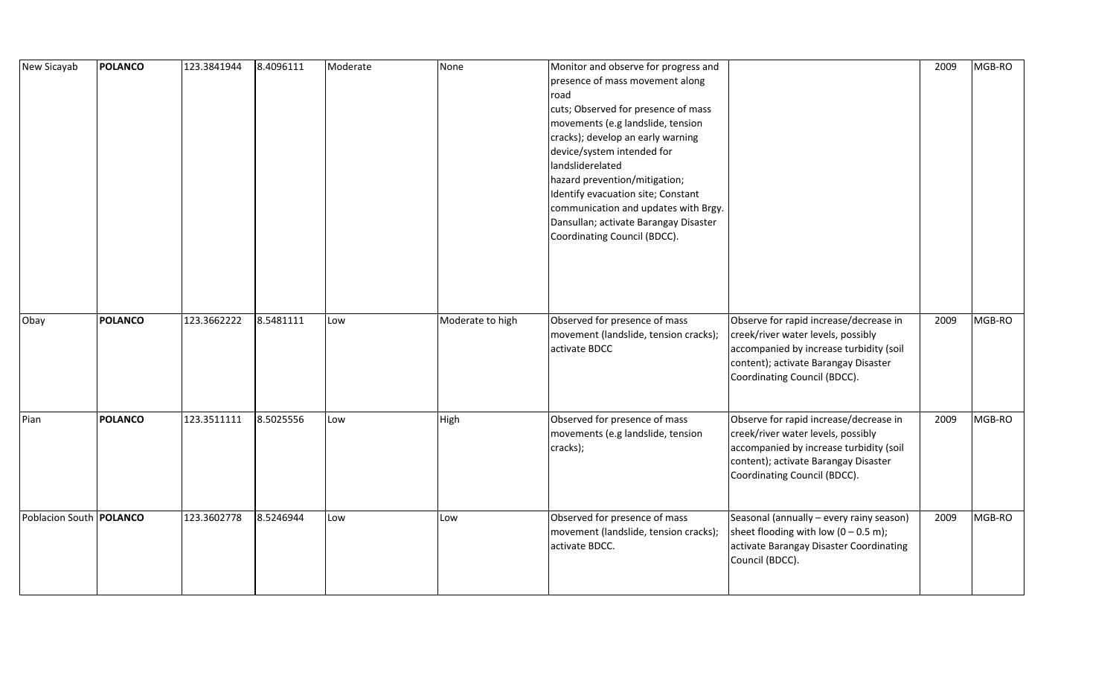| New Sicayab                    | <b>POLANCO</b> | 123.3841944 | 8.4096111 | Moderate | None             | Monitor and observe for progress and<br>presence of mass movement along<br>road<br>cuts; Observed for presence of mass<br>movements (e.g landslide, tension<br>cracks); develop an early warning<br>device/system intended for<br>landsliderelated<br>hazard prevention/mitigation;<br>Identify evacuation site; Constant<br>communication and updates with Brgy.<br>Dansullan; activate Barangay Disaster<br>Coordinating Council (BDCC). |                                                                                                                                                                                                 | 2009 | MGB-RO |
|--------------------------------|----------------|-------------|-----------|----------|------------------|--------------------------------------------------------------------------------------------------------------------------------------------------------------------------------------------------------------------------------------------------------------------------------------------------------------------------------------------------------------------------------------------------------------------------------------------|-------------------------------------------------------------------------------------------------------------------------------------------------------------------------------------------------|------|--------|
| Obay                           | <b>POLANCO</b> | 123.3662222 | 8.5481111 | Low      | Moderate to high | Observed for presence of mass<br>movement (landslide, tension cracks);<br>activate BDCC                                                                                                                                                                                                                                                                                                                                                    | Observe for rapid increase/decrease in<br>creek/river water levels, possibly<br>accompanied by increase turbidity (soil<br>content); activate Barangay Disaster<br>Coordinating Council (BDCC). | 2009 | MGB-RO |
| Pian                           | <b>POLANCO</b> | 123.3511111 | 8.5025556 | Low      | High             | Observed for presence of mass<br>movements (e.g landslide, tension<br>cracks);                                                                                                                                                                                                                                                                                                                                                             | Observe for rapid increase/decrease in<br>creek/river water levels, possibly<br>accompanied by increase turbidity (soil<br>content); activate Barangay Disaster<br>Coordinating Council (BDCC). | 2009 | MGB-RO |
| Poblacion South <b>POLANCO</b> |                | 123.3602778 | 8.5246944 | Low      | Low              | Observed for presence of mass<br>movement (landslide, tension cracks);<br>activate BDCC.                                                                                                                                                                                                                                                                                                                                                   | Seasonal (annually - every rainy season)<br>sheet flooding with low $(0 - 0.5 \text{ m})$ ;<br>activate Barangay Disaster Coordinating<br>Council (BDCC).                                       | 2009 | MGB-RO |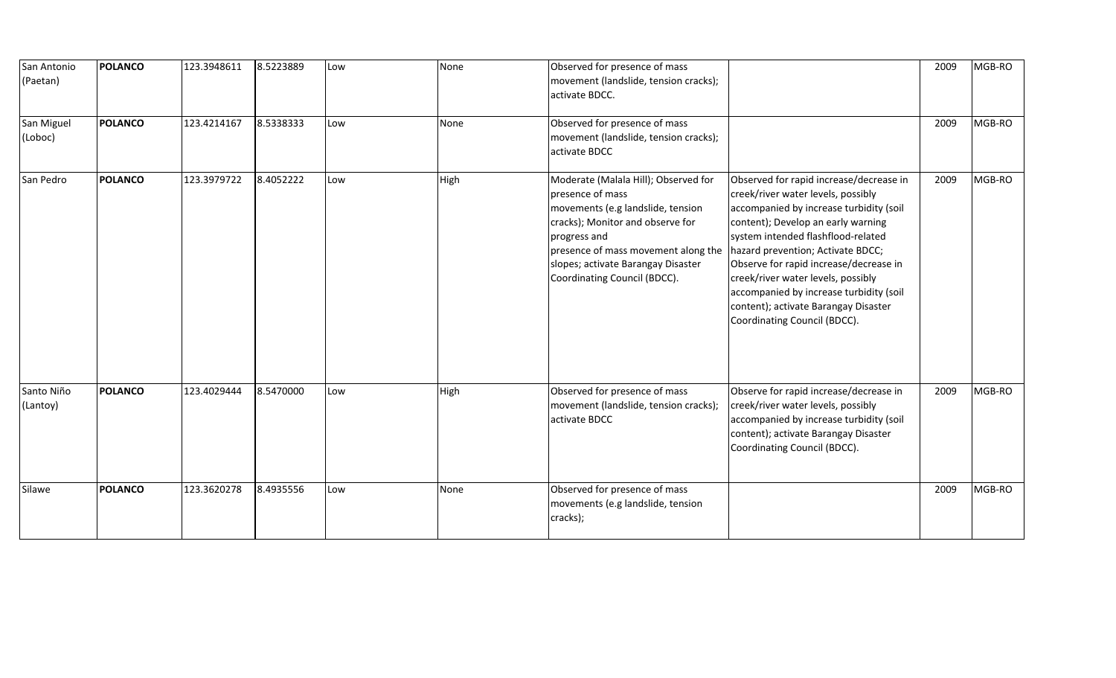| San Antonio<br>(Paetan) | <b>POLANCO</b> | 123.3948611 | 8.5223889 | Low | None | Observed for presence of mass<br>movement (landslide, tension cracks);<br>activate BDCC.                                                                                                                                                                       |                                                                                                                                                                                                                                                                                                                                                                                                                                              | 2009 | MGB-RO |
|-------------------------|----------------|-------------|-----------|-----|------|----------------------------------------------------------------------------------------------------------------------------------------------------------------------------------------------------------------------------------------------------------------|----------------------------------------------------------------------------------------------------------------------------------------------------------------------------------------------------------------------------------------------------------------------------------------------------------------------------------------------------------------------------------------------------------------------------------------------|------|--------|
| San Miguel<br>(Loboc)   | <b>POLANCO</b> | 123.4214167 | 8.5338333 | Low | None | Observed for presence of mass<br>movement (landslide, tension cracks);<br>activate BDCC                                                                                                                                                                        |                                                                                                                                                                                                                                                                                                                                                                                                                                              | 2009 | MGB-RO |
| San Pedro               | <b>POLANCO</b> | 123.3979722 | 8.4052222 | Low | High | Moderate (Malala Hill); Observed for<br>presence of mass<br>movements (e.g landslide, tension<br>cracks); Monitor and observe for<br>progress and<br>presence of mass movement along the<br>slopes; activate Barangay Disaster<br>Coordinating Council (BDCC). | Observed for rapid increase/decrease in<br>creek/river water levels, possibly<br>accompanied by increase turbidity (soil<br>content); Develop an early warning<br>system intended flashflood-related<br>hazard prevention; Activate BDCC;<br>Observe for rapid increase/decrease in<br>creek/river water levels, possibly<br>accompanied by increase turbidity (soil<br>content); activate Barangay Disaster<br>Coordinating Council (BDCC). | 2009 | MGB-RO |
| Santo Niño<br>(Lantoy)  | <b>POLANCO</b> | 123.4029444 | 8.5470000 | Low | High | Observed for presence of mass<br>movement (landslide, tension cracks);<br>activate BDCC                                                                                                                                                                        | Observe for rapid increase/decrease in<br>creek/river water levels, possibly<br>accompanied by increase turbidity (soil<br>content); activate Barangay Disaster<br>Coordinating Council (BDCC).                                                                                                                                                                                                                                              | 2009 | MGB-RO |
| Silawe                  | <b>POLANCO</b> | 123.3620278 | 8.4935556 | Low | None | Observed for presence of mass<br>movements (e.g landslide, tension<br>cracks);                                                                                                                                                                                 |                                                                                                                                                                                                                                                                                                                                                                                                                                              | 2009 | MGB-RO |